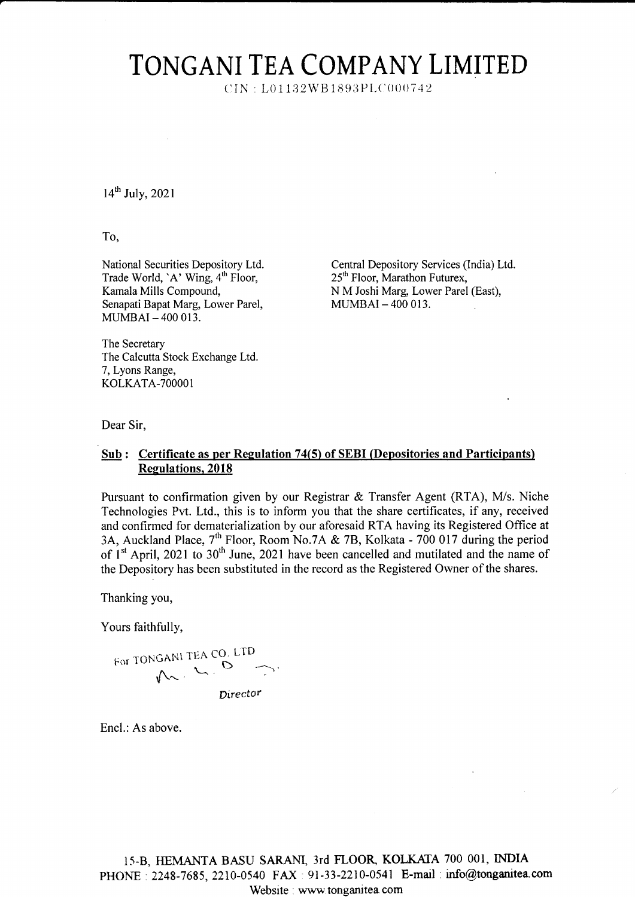## TONGANI TEA COMPANY LIMITED

 $CIN : L01132WB1893PLC000742$ 

 $14^{th}$  July, 2021

To,

National Securities Depository Ltd. Trade World, 'A' Wing, 4<sup>th</sup> Floor, Kamala Mills Compound, Senapati Bapat Marg, Lower Parel, MUMBAI \_4OO 013.

Central Depository Services (India) Ltd. 25<sup>th</sup> Floor, Marathon Futurex, N M Joshi Marg, Lower Parel (East), MUMBAI\_4OO OI3.

The Secretary The Calcutta Stock Exchange Ltd. 7, Lyons Range, KOLKATA-7OOOO1

Dear Sir,

## Sub: Certificate as per Regulation 74(5) of SEBI (Depositories and Participants) Regulations, 2018

Pursuant to confirmation given by our Registrar & Transfer Agent (RTA), M/s. Niche Technologies Pvt. Ltd., this is to inform you that the share certificates, if any, received and confirmed for dematerialization by our aforesaid RTA having its Registered Office at 3A, Auckland Place, 7<sup>th</sup> Floor, Room No.7A & 7B, Kolkata - 700 017 during the period of  $1<sup>st</sup>$  April, 2021 to 30<sup>th</sup> June, 2021 have been cancelled and mutilated and the name of the Depository has been substituted in the record as the Registered Owner of the shares.

Thanking you,

Yours faithfully,

For TONGANI TEA CO. LTD  $\sim$   $\sigma$   $\sim$ Director

Encl.: As above